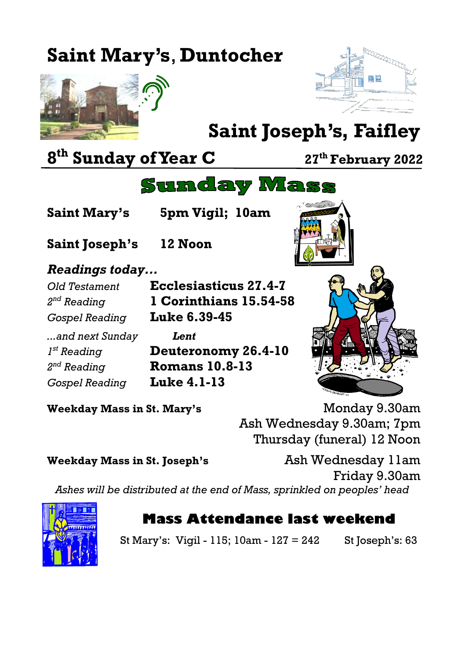# **Saint Mary's**, **Duntocher**





# **Saint Joseph's, Faifley**

## **8 th Sunday of Year C <sup>27</sup>th February 2022**

## **Sunday Mass**

**Saint Mary's 5pm Vigil; 10am**

**Saint Joseph's 12 Noon**

#### *Readings today...*

2<sup>nd</sup> Reading *Gospel Reading* **Luke 6.39-45** *...and next Sunday Lent*  $I^{st}$  Reading 2<sup>nd</sup> Reading *Gospel Reading* **Luke 4.1-13**

*Old Testament* **Ecclesiasticus 27.4-7** *nd Reading* **1 Corinthians 15.54-58**

> **Deuteronomy 26.4-10** *nd Reading* **Romans 10.8-13**



**Weekday Mass in St. Mary's** Monday 9.30am Ash Wednesday 9.30am; 7pm Thursday (funeral) 12 Noon

**Weekday Mass in St. Joseph's** Ash Wednesday 11am Friday 9.30am *Ashes will be distributed at the end of Mass, sprinkled on peoples' head*



### **Mass Attendance last weekend**

St Mary's: Vigil - 115; 10am - 127 = 242 St Joseph's: 63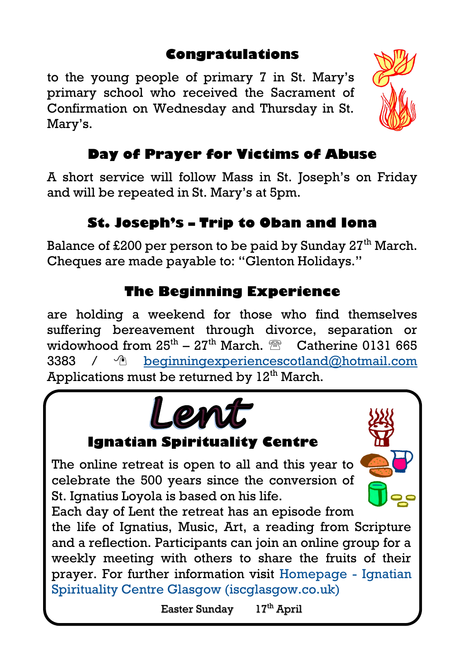#### **Congratulations**

to the young people of primary 7 in St. Mary's primary school who received the Sacrament of Confirmation on Wednesday and Thursday in St. Mary's.

#### **Day of Prayer for Victims of Abuse**

A short service will follow Mass in St. Joseph's on Friday and will be repeated in St. Mary's at 5pm.

#### **St. Joseph's – Trip to Oban and Iona**

Balance of £200 per person to be paid by Sunday  $27<sup>th</sup>$  March. Cheques are made payable to: "Glenton Holidays."

#### **The Beginning Experience**

are holding a weekend for those who find themselves suffering bereavement through divorce, separation or widowhood from  $25^{\text{th}}$  –  $27^{\text{th}}$  March.  $^{\circledR}$  Catherine 0131 665 3383 / [beginningexperiencescotland@hotmail.com](mailto:beginningexperiencescotland@hotmail.com) Applications must be returned by  $12<sup>th</sup>$  March.



prayer. For further information visit [Homepage -](https://iscglasgow.co.uk/) Ignatian [Spirituality Centre Glasgow \(iscglasgow.co.uk\)](https://iscglasgow.co.uk/)

Easter Sunday 17th April

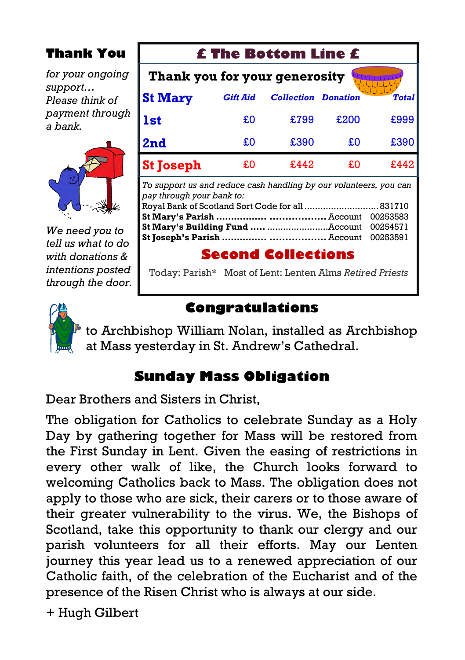#### **Thank You**

*for your ongoing support… Please think of payment through a bank.*



*We need you to tell us what to do with donations & intentions posted through the door.*

| <b>£ The Bottom Line £</b>                                                                                                                                                               |                 |                            |      |              |
|------------------------------------------------------------------------------------------------------------------------------------------------------------------------------------------|-----------------|----------------------------|------|--------------|
| Thank you for your generosity                                                                                                                                                            |                 |                            |      |              |
| <b>St Mary</b>                                                                                                                                                                           | <b>Gift Aid</b> | <b>Collection Donation</b> |      | <b>Total</b> |
| <b>1st</b>                                                                                                                                                                               | £O              | £799                       | £200 | £999         |
| 2nd                                                                                                                                                                                      | £O              | £390                       | £Ο   | £390         |
| <b>St Joseph</b>                                                                                                                                                                         | £0              | £442                       | £O   | £442         |
| To support us and reduce cash handling by our volunteers, you can<br>pay through your bank to:<br>Royal Bank of Scotland Sort Code for all<br>831710<br>00253583<br>00254571<br>00253591 |                 |                            |      |              |
| <b>Second Collections</b>                                                                                                                                                                |                 |                            |      |              |

Today: Parish\* Most of Lent: Lenten Alms *Retired Priests*



#### **Congratulations**

to Archbishop William Nolan, installed as Archbishop at Mass yesterday in St. Andrew's Cathedral.

#### **Sunday Mass Obligation**

Dear Brothers and Sisters in Christ,

The obligation for Catholics to celebrate Sunday as a Holy Day by gathering together for Mass will be restored from the First Sunday in Lent. Given the easing of restrictions in every other walk of like, the Church looks forward to welcoming Catholics back to Mass. The obligation does not apply to those who are sick, their carers or to those aware of their greater vulnerability to the virus. We, the Bishops of Scotland, take this opportunity to thank our clergy and our parish volunteers for all their efforts. May our Lenten journey this year lead us to a renewed appreciation of our Catholic faith, of the celebration of the Eucharist and of the presence of the Risen Christ who is always at our side.

+ Hugh Gilbert